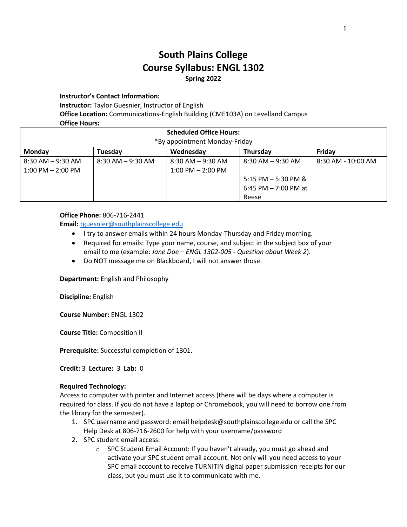# **South Plains College Course Syllabus: ENGL 1302 Spring 2022**

## **Instructor's Contact Information:**

**Instructor:** Taylor Guesnier, Instructor of English

**Office Location:** Communications-English Building (CME103A) on Levelland Campus **Office Hours:**

| UIIILE IIUUIJ.                 |                      |                       |                        |                        |  |
|--------------------------------|----------------------|-----------------------|------------------------|------------------------|--|
| <b>Scheduled Office Hours:</b> |                      |                       |                        |                        |  |
| *By appointment Monday-Friday  |                      |                       |                        |                        |  |
| Monday                         | Tuesday              | Wednesday             | Thursday               | Friday                 |  |
| 8:30 AM – 9:30 AM              | $8:30$ AM $-9:30$ AM | $8:30$ AM $-9:30$ AM  | $8:30$ AM $-9:30$ AM   | $8:30$ AM - $10:00$ AM |  |
| $1:00$ PM $- 2:00$ PM          |                      | $1:00$ PM $- 2:00$ PM |                        |                        |  |
|                                |                      |                       | 5:15 PM $-$ 5:30 PM &  |                        |  |
|                                |                      |                       | 6:45 PM $-$ 7:00 PM at |                        |  |
|                                |                      |                       | Reese                  |                        |  |

## **Office Phone:** 806-716-2441

**Email:** [tguesnier@southplainscollege.edu](mailto:tguesnier@southplainscollege.edu)

- I try to answer emails within 24 hours Monday-Thursday and Friday morning.
- Required for emails: Type your name, course, and subject in the subject box of your email to me (example: *Jane Doe – ENGL 1302-005 - Question about Week 2*).
- Do NOT message me on Blackboard, I will not answer those.

**Department:** English and Philosophy

**Discipline:** English

**Course Number:** ENGL 1302

**Course Title:** Composition II

**Prerequisite:** Successful completion of 1301.

**Credit:** 3 **Lecture:** 3 **Lab:** 0

# **Required Technology:**

Access to computer with printer and Internet access (there will be days where a computer is required for class. If you do not have a laptop or Chromebook, you will need to borrow one from the library for the semester).

- 1. SPC username and password: email helpdesk@southplainscollege.edu or call the SPC Help Desk at 806-716-2600 for help with your username/password
- 2. SPC student email access:
	- o SPC Student Email Account: If you haven't already, you must go ahead and activate your SPC student email account. Not only will you need access to your SPC email account to receive TURNITIN digital paper submission receipts for our class, but you must use it to communicate with me.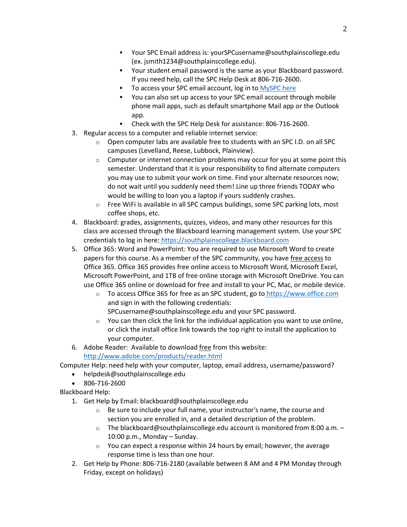- Your SPC Email address is: yourSPCusername@southplainscollege.edu (ex. jsmith1234@southplainscollege.edu).
- Your student email password is the same as your Blackboard password. If you need help, call the SPC Help Desk at 806-716-2600.
- To access your SPC email account, log in to [MySPC here](https://fs.southplainscollege.edu/adfs/ls?wa=wsignin1.0&wtrealm=urn%3aportal.southplainscollege.edu%3a443&wctx=https%3a%2f%2fportal.southplainscollege.edu%2f_layouts%2f15%2fAuthenticate.aspx%3fSource%3d%252F&wreply=https%3a%2f%2fportal.southplainscollege.edu%2f_trust%2fdefault.aspx)
- You can also set up access to your SPC email account through mobile phone mail apps, such as default smartphone Mail app or the Outlook app.
- Check with the SPC Help Desk for assistance: 806-716-2600.
- 3. Regular access to a computer and reliable internet service:
	- $\circ$  Open computer labs are available free to students with an SPC I.D. on all SPC campuses (Levelland, Reese, Lubbock, Plainview).
	- $\circ$  Computer or internet connection problems may occur for you at some point this semester. Understand that it is your responsibility to find alternate computers you may use to submit your work on time*.* Find your alternate resources now; do not wait until you suddenly need them! Line up three friends TODAY who would be willing to loan you a laptop if yours suddenly crashes.
	- o Free WiFi is available in all SPC campus buildings, some SPC parking lots, most coffee shops, etc.
- 4. Blackboard: grades, assignments, quizzes, videos, and many other resources for this class are accessed through the Blackboard learning management system. Use your SPC credentials to log in here: [https://southplainscollege.blackboard.com](https://southplainscollege.blackboard.com/)
- 5. Office 365: Word and PowerPoint: You are required to use Microsoft Word to create papers for this course. As a member of the SPC community, you have free access to Office 365. Office 365 provides free online access to Microsoft Word, Microsoft Excel, Microsoft PowerPoint, and 1TB of free online storage with Microsoft OneDrive. You can use Office 365 online or download for free and install to your PC, Mac, or mobile device.
	- o To access Office 365 for free as an SPC student, go to [https://www.office.com](https://www.office.com/) and sign in with the following credentials:
		- SPCusername@southplainscollege.edu and your SPC password.
	- o You can then click the link for the individual application you want to use online, or click the install office link towards the top right to install the application to your computer.
- 6. Adobe Reader: Available to download free from this website[:](http://www.adobe.com/products/reader.html)

<http://www.adobe.com/products/reader.html>

Computer Help: need help with your computer, laptop, email address, username/password?

- helpdesk@southplainscollege.edu
- 806-716-2600

Blackboard Help:

- 1. Get Help by Email: blackboard@southplainscollege.edu
	- o Be sure to include your full name, your instructor's name, the course and section you are enrolled in, and a detailed description of the problem.
	- o The blackboard@southplainscollege.edu account is monitored from 8:00 a.m. 10:00 p.m., Monday – Sunday.
	- o You can expect a response within 24 hours by email; however, the average response time is less than one hour.
- 2. Get Help by Phone: 806-716-2180 (available between 8 AM and 4 PM Monday through Friday, except on holidays)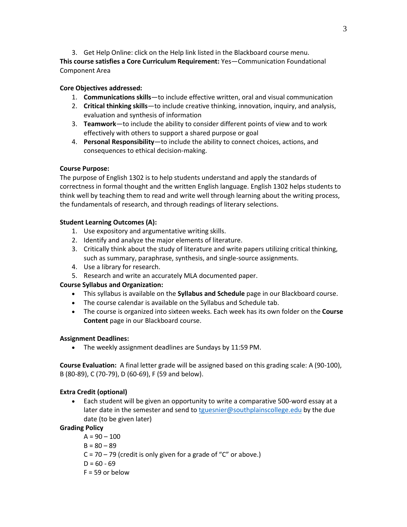3. Get Help Online: click on the Help link listed in the Blackboard course menu.

**This course satisfies a Core Curriculum Requirement:** Yes—Communication Foundational Component Area

# **Core Objectives addressed:**

- 1. **Communications skills**—to include effective written, oral and visual communication
- 2. **Critical thinking skills**—to include creative thinking, innovation, inquiry, and analysis, evaluation and synthesis of information
- 3. **Teamwork**—to include the ability to consider different points of view and to work effectively with others to support a shared purpose or goal
- 4. **Personal Responsibility**—to include the ability to connect choices, actions, and consequences to ethical decision-making.

# **Course Purpose:**

The purpose of English 1302 is to help students understand and apply the standards of correctness in formal thought and the written English language. English 1302 helps students to think well by teaching them to read and write well through learning about the writing process, the fundamentals of research, and through readings of literary selections.

# **Student Learning Outcomes (A):**

- 1. Use expository and argumentative writing skills.
- 2. Identify and analyze the major elements of literature.
- 3. Critically think about the study of literature and write papers utilizing critical thinking, such as summary, paraphrase, synthesis, and single-source assignments.
- 4. Use a library for research.
- 5. Research and write an accurately MLA documented paper.

# **Course Syllabus and Organization:**

- This syllabus is available on the **Syllabus and Schedule** page in our Blackboard course.
- The course calendar is available on the Syllabus and Schedule tab.
- The course is organized into sixteen weeks. Each week has its own folder on the **Course Content** page in our Blackboard course.

# **Assignment Deadlines:**

• The weekly assignment deadlines are Sundays by 11:59 PM.

**Course Evaluation:** A final letter grade will be assigned based on this grading scale: A (90-100), B (80-89), C (70-79), D (60-69), F (59 and below).

# **Extra Credit (optional)**

• Each student will be given an opportunity to write a comparative 500-word essay at a later date in the semester and send to [tguesnier@southplainscollege.edu](mailto:tguesnier@southplainscollege.edu) by the due date (to be given later)

# **Grading Policy**

 $A = 90 - 100$  $B = 80 - 89$  $C = 70 - 79$  (credit is only given for a grade of "C" or above.)  $D = 60 - 69$  $F = 59$  or below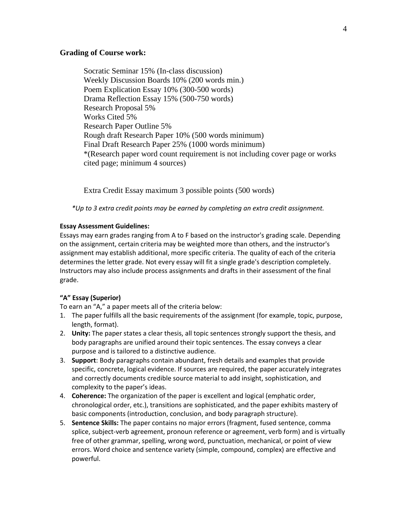## **Grading of Course work:**

Socratic Seminar 15% (In-class discussion) Weekly Discussion Boards 10% (200 words min.) Poem Explication Essay 10% (300-500 words) Drama Reflection Essay 15% (500-750 words) Research Proposal 5% Works Cited 5% Research Paper Outline 5% Rough draft Research Paper 10% (500 words minimum) Final Draft Research Paper 25% (1000 words minimum) \*(Research paper word count requirement is not including cover page or works cited page; minimum 4 sources)

Extra Credit Essay maximum 3 possible points (500 words)

*\*Up to 3 extra credit points may be earned by completing an extra credit assignment.* 

## **Essay Assessment Guidelines:**

Essays may earn grades ranging from A to F based on the instructor's grading scale. Depending on the assignment, certain criteria may be weighted more than others, and the instructor's assignment may establish additional, more specific criteria. The quality of each of the criteria determines the letter grade. Not every essay will fit a single grade's description completely. Instructors may also include process assignments and drafts in their assessment of the final grade.

## **"A" Essay (Superior)**

To earn an "A," a paper meets all of the criteria below:

- 1. The paper fulfills all the basic requirements of the assignment (for example, topic, purpose, length, format).
- 2. **Unity:** The paper states a clear thesis, all topic sentences strongly support the thesis, and body paragraphs are unified around their topic sentences. The essay conveys a clear purpose and is tailored to a distinctive audience.
- 3. **Support**: Body paragraphs contain abundant, fresh details and examples that provide specific, concrete, logical evidence. If sources are required, the paper accurately integrates and correctly documents credible source material to add insight, sophistication, and complexity to the paper's ideas.
- 4. **Coherence:** The organization of the paper is excellent and logical (emphatic order, chronological order, etc.), transitions are sophisticated, and the paper exhibits mastery of basic components (introduction, conclusion, and body paragraph structure).
- 5. **Sentence Skills:** The paper contains no major errors (fragment, fused sentence, comma splice, subject-verb agreement, pronoun reference or agreement, verb form) and is virtually free of other grammar, spelling, wrong word, punctuation, mechanical, or point of view errors. Word choice and sentence variety (simple, compound, complex) are effective and powerful.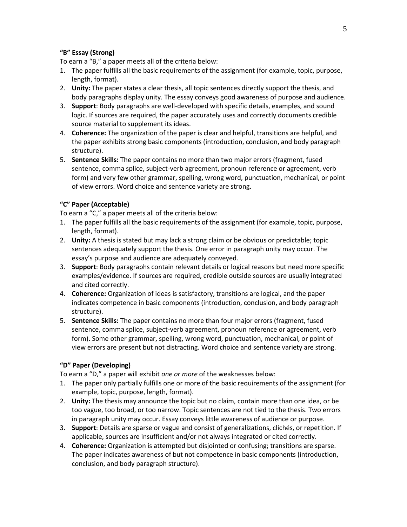# **"B" Essay (Strong)**

To earn a "B," a paper meets all of the criteria below:

- 1. The paper fulfills all the basic requirements of the assignment (for example, topic, purpose, length, format).
- 2. **Unity:** The paper states a clear thesis, all topic sentences directly support the thesis, and body paragraphs display unity. The essay conveys good awareness of purpose and audience.
- 3. **Support**: Body paragraphs are well-developed with specific details, examples, and sound logic. If sources are required, the paper accurately uses and correctly documents credible source material to supplement its ideas.
- 4. **Coherence:** The organization of the paper is clear and helpful, transitions are helpful, and the paper exhibits strong basic components (introduction, conclusion, and body paragraph structure).
- 5. **Sentence Skills:** The paper contains no more than two major errors (fragment, fused sentence, comma splice, subject-verb agreement, pronoun reference or agreement, verb form) and very few other grammar, spelling, wrong word, punctuation, mechanical, or point of view errors. Word choice and sentence variety are strong.

# **"C" Paper (Acceptable)**

To earn a "C," a paper meets all of the criteria below:

- 1. The paper fulfills all the basic requirements of the assignment (for example, topic, purpose, length, format).
- 2. **Unity:** A thesis is stated but may lack a strong claim or be obvious or predictable; topic sentences adequately support the thesis. One error in paragraph unity may occur. The essay's purpose and audience are adequately conveyed.
- 3. **Support**: Body paragraphs contain relevant details or logical reasons but need more specific examples/evidence. If sources are required, credible outside sources are usually integrated and cited correctly.
- 4. **Coherence:** Organization of ideas is satisfactory, transitions are logical, and the paper indicates competence in basic components (introduction, conclusion, and body paragraph structure).
- 5. **Sentence Skills:** The paper contains no more than four major errors (fragment, fused sentence, comma splice, subject-verb agreement, pronoun reference or agreement, verb form). Some other grammar, spelling, wrong word, punctuation, mechanical, or point of view errors are present but not distracting. Word choice and sentence variety are strong.

# **"D" Paper (Developing)**

To earn a "D," a paper will exhibit *one or more* of the weaknesses below:

- 1. The paper only partially fulfills one or more of the basic requirements of the assignment (for example, topic, purpose, length, format).
- 2. **Unity:** The thesis may announce the topic but no claim, contain more than one idea, or be too vague, too broad, or too narrow. Topic sentences are not tied to the thesis. Two errors in paragraph unity may occur. Essay conveys little awareness of audience or purpose.
- 3. **Support**: Details are sparse or vague and consist of generalizations, clichés, or repetition. If applicable, sources are insufficient and/or not always integrated or cited correctly.
- 4. **Coherence:** Organization is attempted but disjointed or confusing; transitions are sparse. The paper indicates awareness of but not competence in basic components (introduction, conclusion, and body paragraph structure).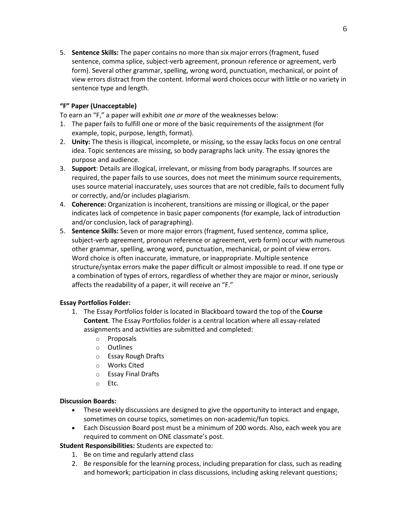5. **Sentence Skills:** The paper contains no more than six major errors (fragment, fused sentence, comma splice, subject-verb agreement, pronoun reference or agreement, verb form). Several other grammar, spelling, wrong word, punctuation, mechanical, or point of view errors distract from the content. Informal word choices occur with little or no variety in sentence type and length.

# **"F" Paper (Unacceptable)**

To earn an "F," a paper will exhibit *one or more* of the weaknesses below:

- 1. The paper fails to fulfill one or more of the basic requirements of the assignment (for example, topic, purpose, length, format).
- 2. **Unity:** The thesis is illogical, incomplete, or missing, so the essay lacks focus on one central idea. Topic sentences are missing, so body paragraphs lack unity. The essay ignores the purpose and audience.
- 3. **Support**: Details are illogical, irrelevant, or missing from body paragraphs. If sources are required, the paper fails to use sources, does not meet the minimum source requirements, uses source material inaccurately, uses sources that are not credible, fails to document fully or correctly, and/or includes plagiarism.
- 4. **Coherence:** Organization is incoherent, transitions are missing or illogical, or the paper indicates lack of competence in basic paper components (for example, lack of introduction and/or conclusion, lack of paragraphing).
- 5. **Sentence Skills:** Seven or more major errors (fragment, fused sentence, comma splice, subject-verb agreement, pronoun reference or agreement, verb form) occur with numerous other grammar, spelling, wrong word, punctuation, mechanical, or point of view errors. Word choice is often inaccurate, immature, or inappropriate. Multiple sentence structure/syntax errors make the paper difficult or almost impossible to read. If one type or a combination of types of errors, regardless of whether they are major or minor, seriously affects the readability of a paper, it will receive an "F."

# **Essay Portfolios Folder:**

- 1. The Essay Portfolios folder is located in Blackboard toward the top of the **Course Content**. The Essay Portfolios folder is a central location where all essay-related assignments and activities are submitted and completed:
	- o Proposals
	- o Outlines
	- o Essay Rough Drafts
	- o Works Cited
	- o Essay Final Drafts
	- o Etc.

# **Discussion Boards:**

- These weekly discussions are designed to give the opportunity to interact and engage, sometimes on course topics, sometimes on non-academic/fun topics.
- Each Discussion Board post must be a minimum of 200 words. Also, each week you are required to comment on ONE classmate's post.

**Student Responsibilities:** Students are expected to:

- 1. Be on time and regularly attend class
- 2. Be responsible for the learning process, including preparation for class, such as reading and homework; participation in class discussions, including asking relevant questions;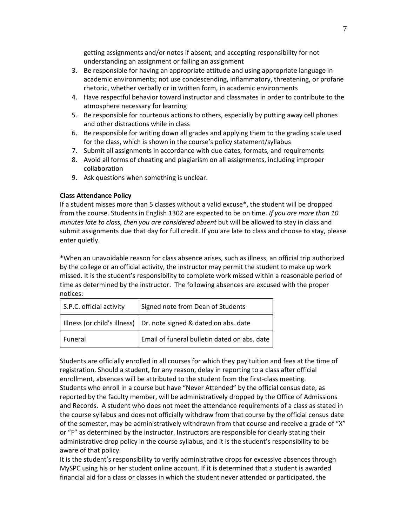getting assignments and/or notes if absent; and accepting responsibility for not understanding an assignment or failing an assignment

- 3. Be responsible for having an appropriate attitude and using appropriate language in academic environments; not use condescending, inflammatory, threatening, or profane rhetoric, whether verbally or in written form, in academic environments
- 4. Have respectful behavior toward instructor and classmates in order to contribute to the atmosphere necessary for learning
- 5. Be responsible for courteous actions to others, especially by putting away cell phones and other distractions while in class
- 6. Be responsible for writing down all grades and applying them to the grading scale used for the class, which is shown in the course's policy statement/syllabus
- 7. Submit all assignments in accordance with due dates, formats, and requirements
- 8. Avoid all forms of cheating and plagiarism on all assignments, including improper collaboration
- 9. Ask questions when something is unclear.

# **Class Attendance Policy**

If a student misses more than 5 classes without a valid excuse\*, the student will be dropped from the course. Students in English 1302 are expected to be on time. *If you are more than 10 minutes late to class, then you are considered absent* but will be allowed to stay in class and submit assignments due that day for full credit. If you are late to class and choose to stay, please enter quietly.

\*When an unavoidable reason for class absence arises, such as illness, an official trip authorized by the college or an official activity, the instructor may permit the student to make up work missed. It is the student's responsibility to complete work missed within a reasonable period of time as determined by the instructor. The following absences are excused with the proper notices:

| S.P.C. official activity | Signed note from Dean of Students                                   |  |
|--------------------------|---------------------------------------------------------------------|--|
|                          | Illness (or child's illness)   Dr. note signed & dated on abs. date |  |
| Funeral                  | Email of funeral bulletin dated on abs. date                        |  |

Students are officially enrolled in all courses for which they pay tuition and fees at the time of registration. Should a student, for any reason, delay in reporting to a class after official enrollment, absences will be attributed to the student from the first-class meeting. Students who enroll in a course but have "Never Attended" by the official census date, as reported by the faculty member, will be administratively dropped by the Office of Admissions and Records. A student who does not meet the attendance requirements of a class as stated in the course syllabus and does not officially withdraw from that course by the official census date of the semester, may be administratively withdrawn from that course and receive a grade of "X" or "F" as determined by the instructor. Instructors are responsible for clearly stating their administrative drop policy in the course syllabus, and it is the student's responsibility to be aware of that policy.

It is the student's responsibility to verify administrative drops for excessive absences through MySPC using his or her student online account. If it is determined that a student is awarded financial aid for a class or classes in which the student never attended or participated, the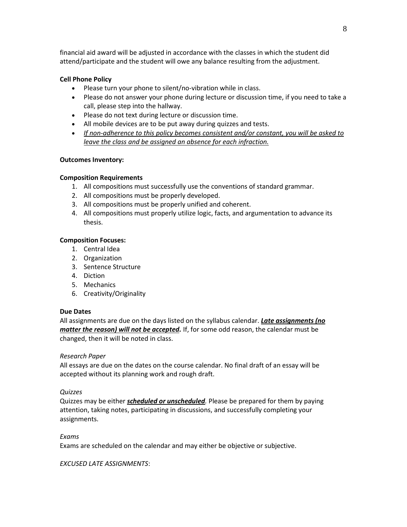financial aid award will be adjusted in accordance with the classes in which the student did attend/participate and the student will owe any balance resulting from the adjustment.

## **Cell Phone Policy**

- Please turn your phone to silent/no-vibration while in class.
- Please do not answer your phone during lecture or discussion time, if you need to take a call, please step into the hallway.
- Please do not text during lecture or discussion time.
- All mobile devices are to be put away during quizzes and tests.
- *If non-adherence to this policy becomes consistent and/or constant, you will be asked to leave the class and be assigned an absence for each infraction.*

## **Outcomes Inventory:**

## **Composition Requirements**

- 1. All compositions must successfully use the conventions of standard grammar.
- 2. All compositions must be properly developed.
- 3. All compositions must be properly unified and coherent.
- 4. All compositions must properly utilize logic, facts, and argumentation to advance its thesis.

## **Composition Focuses:**

- 1. Central Idea
- 2. Organization
- 3. Sentence Structure
- 4. Diction
- 5. Mechanics
- 6. Creativity/Originality

## **Due Dates**

All assignments are due on the days listed on the syllabus calendar. *Late assignments (no matter the reason) will not be accepted.* If, for some odd reason, the calendar must be changed, then it will be noted in class.

## *Research Paper*

All essays are due on the dates on the course calendar. No final draft of an essay will be accepted without its planning work and rough draft.

## *Quizzes*

Quizzes may be either *scheduled or unscheduled.* Please be prepared for them by paying attention, taking notes, participating in discussions, and successfully completing your assignments.

## *Exams*

Exams are scheduled on the calendar and may either be objective or subjective.

## *EXCUSED LATE ASSIGNMENTS*: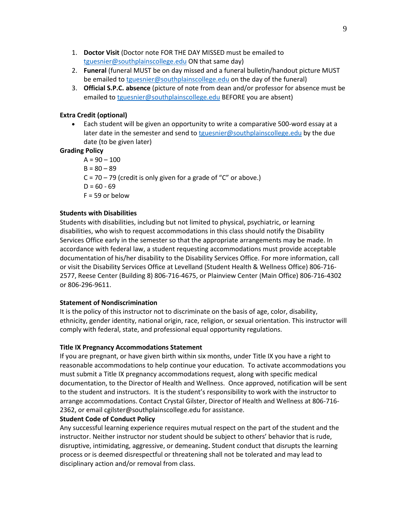- 1. **Doctor Visit** (Doctor note FOR THE DAY MISSED must be emailed to [tguesnier@southplainscollege.edu](mailto:tguesnier@southplainscollege.edu) ON that same day)
- 2. **Funeral** (funeral MUST be on day missed and a funeral bulletin/handout picture MUST be emailed to [tguesnier@southplainscollege.edu](mailto:tguesnier@southplainscollege.edu) on the day of the funeral)
- 3. **Official S.P.C. absence** (picture of note from dean and/or professor for absence must be emailed to [tguesnier@southplainscollege.edu](mailto:tguesnier@southplainscollege.edu) BEFORE you are absent)

## **Extra Credit (optional)**

• Each student will be given an opportunity to write a comparative 500-word essay at a later date in the semester and send to [tguesnier@southplainscollege.edu](mailto:tguesnier@southplainscollege.edu) by the due date (to be given later)

## **Grading Policy**

 $A = 90 - 100$  $B = 80 - 89$  $C = 70 - 79$  (credit is only given for a grade of "C" or above.)  $D = 60 - 69$  $F = 59$  or below

## **Students with Disabilities**

Students with disabilities, including but not limited to physical, psychiatric, or learning disabilities, who wish to request accommodations in this class should notify the Disability Services Office early in the semester so that the appropriate arrangements may be made. In accordance with federal law, a student requesting accommodations must provide acceptable documentation of his/her disability to the Disability Services Office. For more information, call or visit the Disability Services Office at Levelland (Student Health & Wellness Office) 806-716- 2577, Reese Center (Building 8) 806-716-4675, or Plainview Center (Main Office) 806-716-4302 or 806-296-9611.

## **Statement of Nondiscrimination**

It is the policy of this instructor not to discriminate on the basis of age, color, disability, ethnicity, gender identity, national origin, race, religion, or sexual orientation. This instructor will comply with federal, state, and professional equal opportunity regulations.

## **Title IX Pregnancy Accommodations Statement**

If you are pregnant, or have given birth within six months, under Title IX you have a right to reasonable accommodations to help continue your education. To activate accommodations you must submit a Title IX pregnancy accommodations request, along with specific medical documentation, to the Director of Health and Wellness. Once approved, notification will be sent to the student and instructors. It is the student's responsibility to work with the instructor to arrange accommodations. Contact Crystal Gilster, Director of Health and Wellness at 806-716- 2362, or email cgilster@southplainscollege.edu for assistance.

## **Student Code of Conduct Policy**

Any successful learning experience requires mutual respect on the part of the student and the instructor. Neither instructor nor student should be subject to others' behavior that is rude, disruptive, intimidating, aggressive, or demeaning**.** Student conduct that disrupts the learning process or is deemed disrespectful or threatening shall not be tolerated and may lead to disciplinary action and/or removal from class.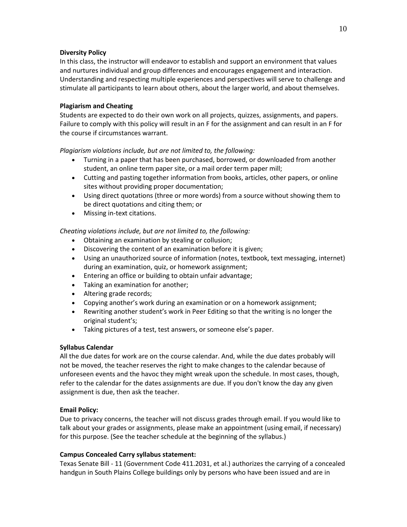## **Diversity Policy**

In this class, the instructor will endeavor to establish and support an environment that values and nurtures individual and group differences and encourages engagement and interaction. Understanding and respecting multiple experiences and perspectives will serve to challenge and stimulate all participants to learn about others, about the larger world, and about themselves.

## **Plagiarism and Cheating**

Students are expected to do their own work on all projects, quizzes, assignments, and papers. Failure to comply with this policy will result in an F for the assignment and can result in an F for the course if circumstances warrant.

*Plagiarism violations include, but are not limited to, the following:*

- Turning in a paper that has been purchased, borrowed, or downloaded from another student, an online term paper site, or a mail order term paper mill;
- Cutting and pasting together information from books, articles, other papers, or online sites without providing proper documentation;
- Using direct quotations (three or more words) from a source without showing them to be direct quotations and citing them; or
- Missing in-text citations.

*Cheating violations include, but are not limited to, the following:*

- Obtaining an examination by stealing or collusion;
- Discovering the content of an examination before it is given;
- Using an unauthorized source of information (notes, textbook, text messaging, internet) during an examination, quiz, or homework assignment;
- Entering an office or building to obtain unfair advantage;
- Taking an examination for another;
- Altering grade records;
- Copying another's work during an examination or on a homework assignment;
- Rewriting another student's work in Peer Editing so that the writing is no longer the original student's;
- Taking pictures of a test, test answers, or someone else's paper.

# **Syllabus Calendar**

All the due dates for work are on the course calendar. And, while the due dates probably will not be moved, the teacher reserves the right to make changes to the calendar because of unforeseen events and the havoc they might wreak upon the schedule. In most cases, though, refer to the calendar for the dates assignments are due. If you don't know the day any given assignment is due, then ask the teacher.

## **Email Policy:**

Due to privacy concerns, the teacher will not discuss grades through email. If you would like to talk about your grades or assignments, please make an appointment (using email, if necessary) for this purpose. (See the teacher schedule at the beginning of the syllabus.)

## **Campus Concealed Carry syllabus statement:**

Texas Senate Bill - 11 (Government Code 411.2031, et al.) authorizes the carrying of a concealed handgun in South Plains College buildings only by persons who have been issued and are in